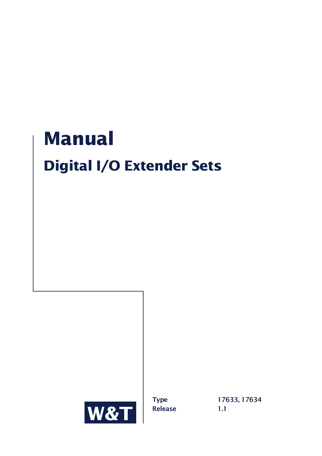# **Manual**

## **Digital I/O Extender Sets**



**Type 17633, 17634**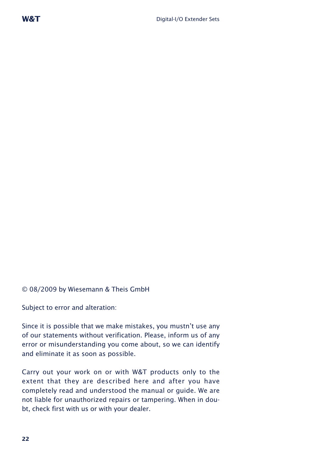#### © 08/2009 by Wiesemann & Theis GmbH

Subject to error and alteration:

Since it is possible that we make mistakes, you mustn't use any of our statements without verification. Please, inform us of any error or misunderstanding you come about, so we can identify and eliminate it as soon as possible.

Carry out your work on or with W&T products only to the extent that they are described here and after you have completely read and understood the manual or guide. We are not liable for unauthorized repairs or tampering. When in doubt, check first with us or with your dealer.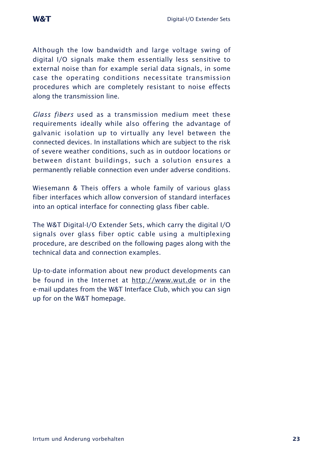Although the low bandwidth and large voltage swing of digital I/O signals make them essentially less sensitive to external noise than for example serial data signals, in some case the operating conditions necessitate transmission procedures which are completely resistant to noise effects along the transmission line.

*Glass fibers* used as a transmission medium meet these requirements ideally while also offering the advantage of galvanic isolation up to virtually any level between the connected devices. In installations which are subject to the risk of severe weather conditions, such as in outdoor locations or between distant buildings, such a solution ensures a permanently reliable connection even under adverse conditions.

Wiesemann & Theis offers a whole family of various glass fiber interfaces which allow conversion of standard interfaces into an optical interface for connecting glass fiber cable.

The W&T Digital-I/O Extender Sets, which carry the digital I/O signals over glass fiber optic cable using a multiplexing procedure, are described on the following pages along with the technical data and connection examples.

Up-to-date information about new product developments can be found in the Internet at http://www.wut.de or in the e-mail updates from the W&T Interface Club, which you can sign up for on the W&T homepage.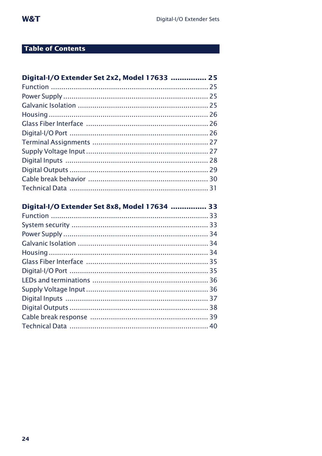## **Table of Contents**

| Digital-I/O Extender Set 2x2, Model 17633  25 |  |
|-----------------------------------------------|--|
|                                               |  |
|                                               |  |
|                                               |  |
|                                               |  |
|                                               |  |
|                                               |  |
|                                               |  |
|                                               |  |
|                                               |  |
|                                               |  |
|                                               |  |
|                                               |  |
|                                               |  |
|                                               |  |
| Digital-I/O Extender Set 8x8, Model 17634  33 |  |
|                                               |  |
|                                               |  |
|                                               |  |
|                                               |  |
|                                               |  |
|                                               |  |
|                                               |  |
|                                               |  |
|                                               |  |
|                                               |  |
|                                               |  |
|                                               |  |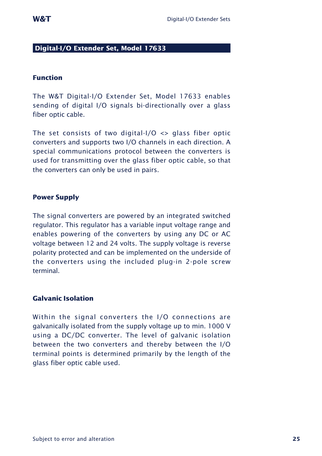#### **Digital-I/O Extender Set, Model 17633**

#### **Function**

The W&T Digital-I/O Extender Set, Model 17633 enables sending of digital I/O signals bi-directionally over a glass fiber optic cable.

The set consists of two digital- $1/0 \leq$  glass fiber optic converters and supports two I/O channels in each direction. A special communications protocol between the converters is used for transmitting over the glass fiber optic cable, so that the converters can only be used in pairs.

#### **Power Supply**

The signal converters are powered by an integrated switched regulator. This regulator has a variable input voltage range and enables powering of the converters by using any DC or AC voltage between 12 and 24 volts. The supply voltage is reverse polarity protected and can be implemented on the underside of the converters using the included plug-in 2-pole screw terminal.

#### **Galvanic Isolation**

Within the signal converters the I/O connections are galvanically isolated from the supply voltage up to min. 1000 V using a DC/DC converter. The level of galvanic isolation between the two converters and thereby between the I/O terminal points is determined primarily by the length of the glass fiber optic cable used.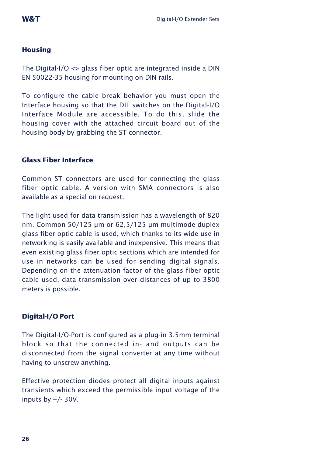#### **Housing**

The Digital-I/O  $\leq$  glass fiber optic are integrated inside a DIN EN 50022-35 housing for mounting on DIN rails.

To configure the cable break behavior you must open the Interface housing so that the DIL switches on the Digital-I/O Interface Module are accessible. To do this, slide the housing cover with the attached circuit board out of the housing body by grabbing the ST connector.

#### **Glass Fiber Interface**

Common ST connectors are used for connecting the glass fiber optic cable. A version with SMA connectors is also available as a special on request.

The light used for data transmission has a wavelength of 820 nm. Common 50/125 µm or 62,5/125 µm multimode duplex glass fiber optic cable is used, which thanks to its wide use in networking is easily available and inexpensive. This means that even existing glass fiber optic sections which are intended for use in networks can be used for sending digital signals. Depending on the attenuation factor of the glass fiber optic cable used, data transmission over distances of up to 3800 meters is possible.

#### **Digital-I/O Port**

The Digital-I/O-Port is configured as a plug-in 3.5mm terminal block so that the connected in- and outputs can be disconnected from the signal converter at any time without having to unscrew anything.

Effective protection diodes protect all digital inputs against transients which exceed the permissible input voltage of the inputs by +/- 30V.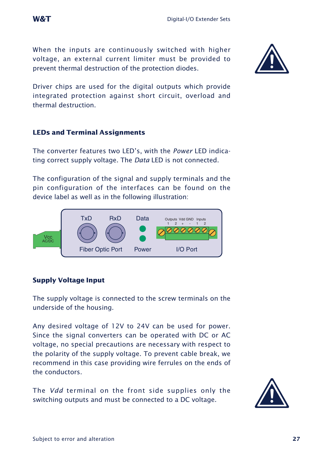When the inputs are continuously switched with higher voltage, an external current limiter must be provided to prevent thermal destruction of the protection diodes.



Driver chips are used for the digital outputs which provide integrated protection against short circuit, overload and thermal destruction.

#### **LEDs and Terminal Assignments**

The converter features two LED's, with the *Power* LED indicating correct supply voltage. The *Data* LED is not connected.

The configuration of the signal and supply terminals and the pin configuration of the interfaces can be found on the device label as well as in the following illustration:



### **Supply Voltage Input**

The supply voltage is connected to the screw terminals on the underside of the housing.

Any desired voltage of 12V to 24V can be used for power. Since the signal converters can be operated with DC or AC voltage, no special precautions are necessary with respect to the polarity of the supply voltage. To prevent cable break, we recommend in this case providing wire ferrules on the ends of the conductors.

The *Vdd* terminal on the front side supplies only the switching outputs and must be connected to a DC voltage.



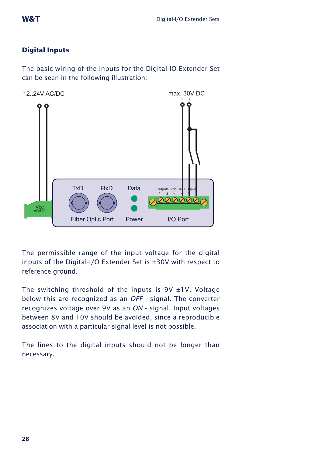## **Digital Inputs**

The basic wiring of the inputs for the Digital-IO Extender Set can be seen in the following illustration:



The permissible range of the input voltage for the digital inputs of the Digital-I/O Extender Set is  $\pm 30V$  with respect to reference ground.

The switching threshold of the inputs is  $9V \pm 1V$ . Voltage below this are recognized as an *OFF* - signal. The converter recognizes voltage over 9V as an *ON* - signal. Input voltages between 8V and 10V should be avoided, since a reproducible association with a particular signal level is not possible.

The lines to the digital inputs should not be longer than necessary.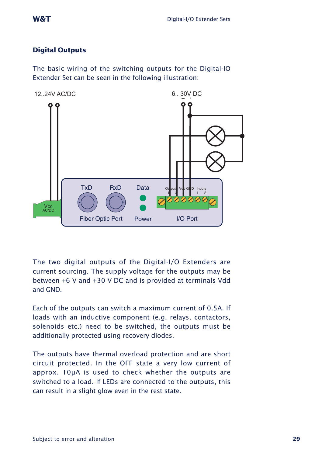## **Digital Outputs**

The basic wiring of the switching outputs for the Digital-IO Extender Set can be seen in the following illustration:



The two digital outputs of the Digital-I/O Extenders are current sourcing. The supply voltage for the outputs may be between +6 V and +30 V DC and is provided at terminals Vdd and GND.

Each of the outputs can switch a maximum current of 0.5A. If loads with an inductive component (e.g. relays, contactors, solenoids etc.) need to be switched, the outputs must be additionally protected using recovery diodes.

The outputs have thermal overload protection and are short circuit protected. In the OFF state a very low current of approx. 10µA is used to check whether the outputs are switched to a load. If LEDs are connected to the outputs, this can result in a slight glow even in the rest state.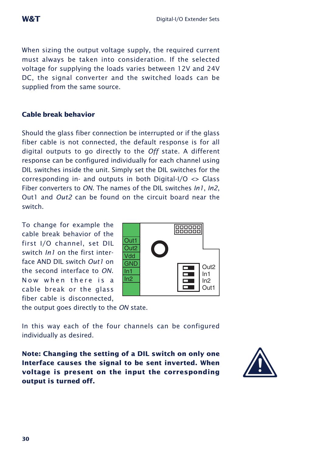When sizing the output voltage supply, the required current must always be taken into consideration. If the selected voltage for supplying the loads varies between 12V and 24V DC, the signal converter and the switched loads can be supplied from the same source.

#### **Cable break behavior**

Should the glass fiber connection be interrupted or if the glass fiber cable is not connected, the default response is for all digital outputs to go directly to the *Off* state. A different response can be configured individually for each channel using DIL switches inside the unit. Simply set the DIL switches for the corresponding in- and outputs in both Digital-I/O <> Glass Fiber converters to *ON*. The names of the DIL switches *In1*, *In2*, Out1 and *Out2* can be found on the circuit board near the switch.

To change for example the cable break behavior of the first I/O channel, set DIL switch *In1* on the first interface AND DIL switch *Out1* on the second interface to *ON*. Now when there is a cable break or the glass fiber cable is disconnected,



the output goes directly to the *ON* state.

In this way each of the four channels can be configured individually as desired.

**Note: Changing the setting of a DIL switch on only one Interface causes the signal to be sent inverted. When voltage is present on the input the corresponding output is turned off.**

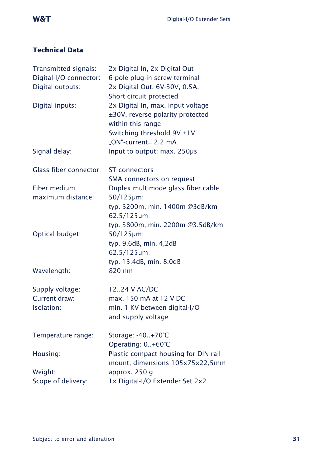## **Technical Data**

| Transmitted signals:<br>Digital-I/O connector: | 2x Digital In, 2x Digital Out<br>6-pole plug-in screw terminal                                                                                                            |
|------------------------------------------------|---------------------------------------------------------------------------------------------------------------------------------------------------------------------------|
| Digital outputs:                               | 2x Digital Out, 6V-30V, 0.5A,<br>Short circuit protected                                                                                                                  |
| Digital inputs:                                | 2x Digital In, max. input voltage<br>±30V, reverse polarity protected<br>within this range<br>Switching threshold 9V ±1V<br>"ON"-current= 2.2 mA                          |
| Signal delay:                                  | Input to output: max. 250µs                                                                                                                                               |
| <b>Glass fiber connector:</b>                  | <b>ST</b> connectors<br>SMA connectors on request                                                                                                                         |
| Fiber medium:<br>maximum distance:             | Duplex multimode glass fiber cable<br>50/125µm:                                                                                                                           |
| Optical budget:                                | typ. 3200m, min. 1400m @3dB/km<br>62.5/125µm:<br>typ. 3800m, min. 2200m @3.5dB/km<br>50/125µm:<br>typ. 9.6dB, min. 4,2dB<br>$62.5/125 \mu m$ :<br>typ. 13.4dB, min. 8.0dB |
| Wavelength:                                    | 820 nm                                                                                                                                                                    |
| Supply voltage:<br>Current draw:<br>Isolation: | 1224 V AC/DC<br>max. 150 mA at 12 V DC<br>min. 1 KV between digital-I/O<br>and supply voltage                                                                             |
| Temperature range:                             | Storage: -40+70°C<br>Operating: 0+60°C                                                                                                                                    |
| Housing:                                       | Plastic compact housing for DIN rail<br>mount, dimensions 105x75x22,5mm                                                                                                   |
| Weight:                                        | approx. 250 g                                                                                                                                                             |
| Scope of delivery:                             | 1x Digital-I/O Extender Set 2x2                                                                                                                                           |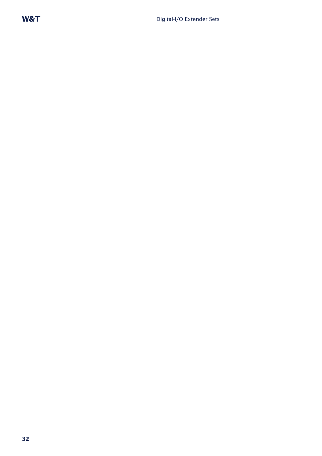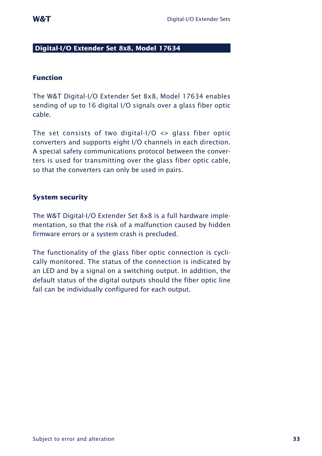#### **Digital-I/O Extender Set 8x8, Model 17634**

#### **Function**

The W&T Digital-I/O Extender Set 8x8, Model 17634 enables sending of up to 16 digital I/O signals over a glass fiber optic cable.

The set consists of two digital- $1/0 \leq$  glass fiber optic converters and supports eight I/O channels in each direction. A special safety communications protocol between the converters is used for transmitting over the glass fiber optic cable, so that the converters can only be used in pairs.

#### **System security**

The W&T Digital-I/O Extender Set 8x8 is a full hardware implementation, so that the risk of a malfunction caused by hidden firmware errors or a system crash is precluded.

The functionality of the glass fiber optic connection is cyclically monitored. The status of the connection is indicated by an LED and by a signal on a switching output. In addition, the default status of the digital outputs should the fiber optic line fail can be individually configured for each output.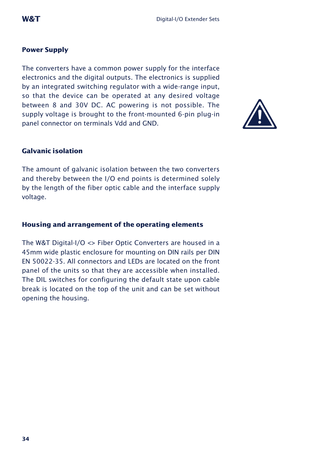#### **Power Supply**

The converters have a common power supply for the interface electronics and the digital outputs. The electronics is supplied by an integrated switching regulator with a wide-range input, so that the device can be operated at any desired voltage between 8 and 30V DC. AC powering is not possible. The supply voltage is brought to the front-mounted 6-pin plug-in panel connector on terminals Vdd and GND.



#### **Galvanic isolation**

The amount of galvanic isolation between the two converters and thereby between the I/O end points is determined solely by the length of the fiber optic cable and the interface supply voltage.

#### **Housing and arrangement of the operating elements**

The W&T Digital-I/O <> Fiber Optic Converters are housed in a 45mm wide plastic enclosure for mounting on DIN rails per DIN EN 50022-35. All connectors and LEDs are located on the front panel of the units so that they are accessible when installed. The DIL switches for configuring the default state upon cable break is located on the top of the unit and can be set without opening the housing.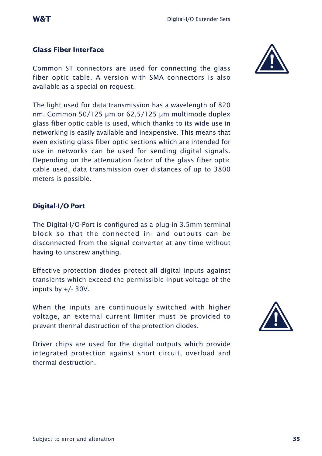#### **Glass Fiber Interface**

Common ST connectors are used for connecting the glass fiber optic cable. A version with SMA connectors is also available as a special on request.

The light used for data transmission has a wavelength of 820 nm. Common 50/125 µm or 62,5/125 µm multimode duplex glass fiber optic cable is used, which thanks to its wide use in networking is easily available and inexpensive. This means that even existing glass fiber optic sections which are intended for use in networks can be used for sending digital signals. Depending on the attenuation factor of the glass fiber optic cable used, data transmission over distances of up to 3800 meters is possible.

## **Digital-I/O Port**

The Digital-I/O-Port is configured as a plug-in 3.5mm terminal block so that the connected in- and outputs can be disconnected from the signal converter at any time without having to unscrew anything.

Effective protection diodes protect all digital inputs against transients which exceed the permissible input voltage of the inputs by +/- 30V.

When the inputs are continuously switched with higher voltage, an external current limiter must be provided to prevent thermal destruction of the protection diodes.

Driver chips are used for the digital outputs which provide integrated protection against short circuit, overload and thermal destruction.



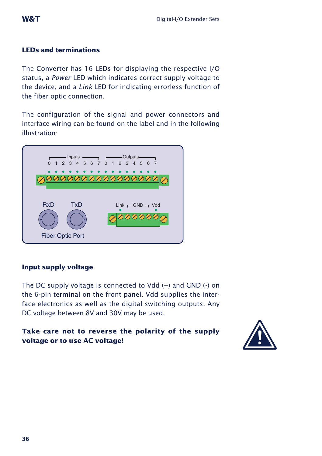#### **LEDs and terminations**

The Converter has 16 LEDs for displaying the respective I/O status, a *Power* LED which indicates correct supply voltage to the device, and a *Link* LED for indicating errorless function of the fiber optic connection.

The configuration of the signal and power connectors and interface wiring can be found on the label and in the following illustration:



#### **Input supply voltage**

The DC supply voltage is connected to Vdd (+) and GND (-) on the 6-pin terminal on the front panel. Vdd supplies the interface electronics as well as the digital switching outputs. Any DC voltage between 8V and 30V may be used.

**Take care not to reverse the polarity of the supply** DC voltage between 8V and 30V may be used.<br>Take care not to reverse the polarity of the supply<br>voltage or to use AC voltage!

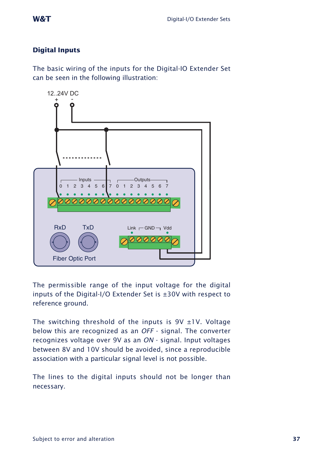## **Digital Inputs**

The basic wiring of the inputs for the Digital-IO Extender Set can be seen in the following illustration:



The permissible range of the input voltage for the digital inputs of the Digital-I/O Extender Set is  $\pm 30V$  with respect to reference ground.

The switching threshold of the inputs is  $9V \pm 1V$ . Voltage below this are recognized as an *OFF* - signal. The converter recognizes voltage over 9V as an *ON* - signal. Input voltages between 8V and 10V should be avoided, since a reproducible association with a particular signal level is not possible.

The lines to the digital inputs should not be longer than necessary.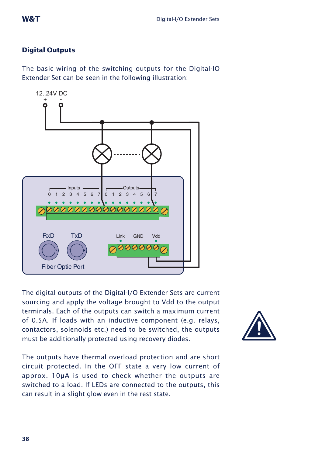## **Digital Outputs**

The basic wiring of the switching outputs for the Digital-IO Extender Set can be seen in the following illustration:

The digital outputs of the Digital-I/O Extender Sets are current sourcing and apply the voltage brought to Vdd to the output terminals. Each of the outputs can switch a maximum current of 0.5A. If loads with an inductive component (e.g. relays, contactors, solenoids etc.) need to be switched, the outputs must be additionally protected using recovery diodes.

The outputs have thermal overload protection and are short circuit protected. In the OFF state a very low current of approx. 10µA is used to check whether the outputs are switched to a load. If LEDs are connected to the outputs, this can result in a slight glow even in the rest state.



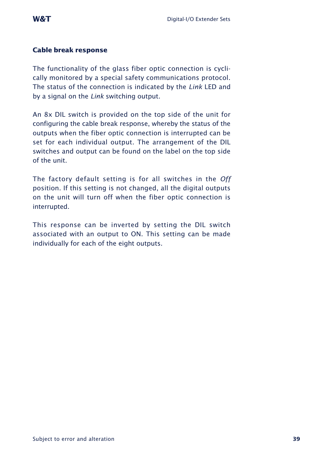#### **Cable break response**

The functionality of the glass fiber optic connection is cyclically monitored by a special safety communications protocol. The status of the connection is indicated by the *Link* LED and by a signal on the *Link* switching output.

An 8x DIL switch is provided on the top side of the unit for configuring the cable break response, whereby the status of the outputs when the fiber optic connection is interrupted can be set for each individual output. The arrangement of the DIL switches and output can be found on the label on the top side of the unit.

The factory default setting is for all switches in the *Off* position. If this setting is not changed, all the digital outputs on the unit will turn off when the fiber optic connection is interrupted.

This response can be inverted by setting the DIL switch associated with an output to ON. This setting can be made individually for each of the eight outputs.